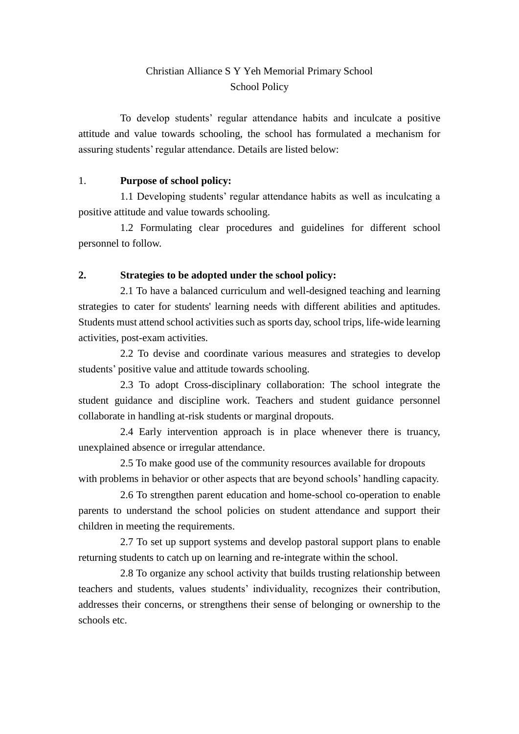## Christian Alliance S Y Yeh Memorial Primary School School Policy

To develop students' regular attendance habits and inculcate a positive attitude and value towards schooling, the school has formulated a mechanism for assuring students' regular attendance. Details are listed below:

### 1. **Purpose of school policy:**

1.1 Developing students' regular attendance habits as well as inculcating a positive attitude and value towards schooling.

1.2 Formulating clear procedures and guidelines for different school personnel to follow.

### **2. Strategies to be adopted under the school policy:**

2.1 To have a balanced curriculum and well-designed teaching and learning strategies to cater for students' learning needs with different abilities and aptitudes. Students must attend school activities such as sports day, school trips, life-wide learning activities, post-exam activities.

2.2 To devise and coordinate various measures and strategies to develop students' positive value and attitude towards schooling.

2.3 To adopt Cross-disciplinary collaboration: The school integrate the student guidance and discipline work. Teachers and student guidance personnel collaborate in handling at-risk students or marginal dropouts.

2.4 Early intervention approach is in place whenever there is truancy, unexplained absence or irregular attendance.

2.5 To make good use of the community resources available for dropouts with problems in behavior or other aspects that are beyond schools' handling capacity.

2.6 To strengthen parent education and home-school co-operation to enable parents to understand the school policies on student attendance and support their children in meeting the requirements.

2.7 To set up support systems and develop pastoral support plans to enable returning students to catch up on learning and re-integrate within the school.

2.8 To organize any school activity that builds trusting relationship between teachers and students, values students' individuality, recognizes their contribution, addresses their concerns, or strengthens their sense of belonging or ownership to the schools etc.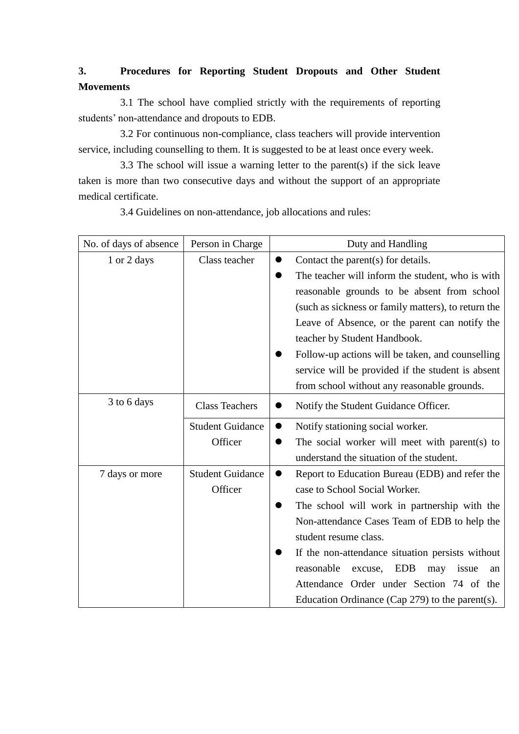# **3. Procedures for Reporting Student Dropouts and Other Student Movements**

3.1 The school have complied strictly with the requirements of reporting students' non-attendance and dropouts to EDB.

3.2 For continuous non-compliance, class teachers will provide intervention service, including counselling to them. It is suggested to be at least once every week.

3.3 The school will issue a warning letter to the parent(s) if the sick leave taken is more than two consecutive days and without the support of an appropriate medical certificate.

3.4 Guidelines on non-attendance, job allocations and rules:

| No. of days of absence | Person in Charge        | Duty and Handling                                           |
|------------------------|-------------------------|-------------------------------------------------------------|
| 1 or 2 days            | Class teacher           | Contact the parent(s) for details.                          |
|                        |                         | The teacher will inform the student, who is with            |
|                        |                         | reasonable grounds to be absent from school                 |
|                        |                         | (such as sickness or family matters), to return the         |
|                        |                         | Leave of Absence, or the parent can notify the              |
|                        |                         | teacher by Student Handbook.                                |
|                        |                         | Follow-up actions will be taken, and counselling            |
|                        |                         | service will be provided if the student is absent           |
|                        |                         | from school without any reasonable grounds.                 |
| 3 to 6 days            | <b>Class Teachers</b>   | Notify the Student Guidance Officer.                        |
|                        | <b>Student Guidance</b> | Notify stationing social worker.<br>0                       |
|                        | Officer                 | The social worker will meet with parent(s) to               |
|                        |                         | understand the situation of the student.                    |
| 7 days or more         | <b>Student Guidance</b> | Report to Education Bureau (EDB) and refer the<br>$\bullet$ |
|                        | Officer                 | case to School Social Worker.                               |
|                        |                         | The school will work in partnership with the                |
|                        |                         | Non-attendance Cases Team of EDB to help the                |
|                        |                         | student resume class.                                       |
|                        |                         | If the non-attendance situation persists without            |
|                        |                         | reasonable<br><b>EDB</b><br>excuse,<br>may<br>issue<br>an   |
|                        |                         | Attendance Order under Section 74 of the                    |
|                        |                         | Education Ordinance (Cap $279$ ) to the parent(s).          |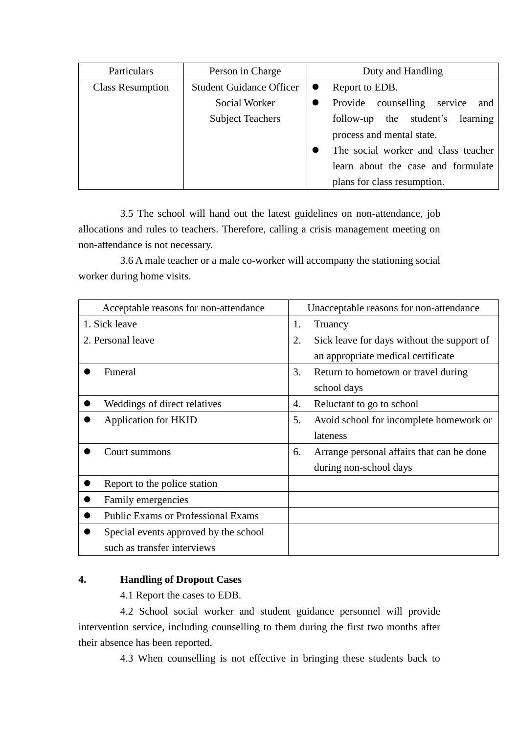| Particulars             | Person in Charge                | Duty and Handling                     |
|-------------------------|---------------------------------|---------------------------------------|
| <b>Class Resumption</b> | <b>Student Guidance Officer</b> | Report to EDB.                        |
|                         | Social Worker                   | Provide counselling<br>service<br>and |
|                         | <b>Subject Teachers</b>         | follow-up the student's learning      |
|                         |                                 | process and mental state.             |
|                         |                                 | The social worker and class teacher   |
|                         |                                 | learn about the case and formulate    |
|                         |                                 | plans for class resumption.           |

3.5 The school will hand out the latest guidelines on non-attendance, job allocations and rules to teachers. Therefore, calling a crisis management meeting on non-attendance is not necessary.

3.6 A male teacher or a male co-worker will accompany the stationing social worker during home visits.

| Acceptable reasons for non-attendance     | Unacceptable reasons for non-attendance          |
|-------------------------------------------|--------------------------------------------------|
| 1. Sick leave                             | 1.<br>Truancy                                    |
| 2. Personal leave                         | 2.<br>Sick leave for days without the support of |
|                                           | an appropriate medical certificate               |
| Funeral                                   | 3.<br>Return to hometown or travel during        |
|                                           | school days                                      |
| Weddings of direct relatives              | Reluctant to go to school<br>4.                  |
| <b>Application for HKID</b>               | 5.<br>Avoid school for incomplete homework or    |
|                                           | lateness                                         |
| Court summons                             | Arrange personal affairs that can be done<br>6.  |
|                                           | during non-school days                           |
| Report to the police station              |                                                  |
| Family emergencies                        |                                                  |
| <b>Public Exams or Professional Exams</b> |                                                  |
| Special events approved by the school     |                                                  |
| such as transfer interviews               |                                                  |

### **4. Handling of Dropout Cases**

4.1 Report the cases to EDB.

4.2 School social worker and student guidance personnel will provide intervention service, including counselling to them during the first two months after their absence has been reported.

4.3 When counselling is not effective in bringing these students back to